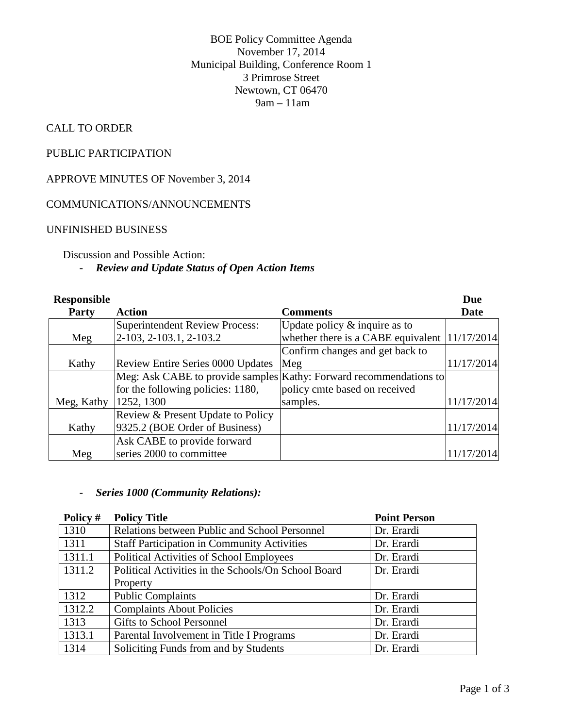BOE Policy Committee Agenda November 17, 2014 Municipal Building, Conference Room 1 3 Primrose Street Newtown, CT 06470 9am – 11am

# CALL TO ORDER

### PUBLIC PARTICIPATION

APPROVE MINUTES OF November 3, 2014

#### COMMUNICATIONS/ANNOUNCEMENTS

#### UNFINISHED BUSINESS

# Discussion and Possible Action:

### - *Review and Update Status of Open Action Items*

| <b>Responsible</b> |                                          |                                                                    | <b>Due</b> |
|--------------------|------------------------------------------|--------------------------------------------------------------------|------------|
| <b>Party</b>       | Action                                   | <b>Comments</b>                                                    | Date       |
|                    | <b>Superintendent Review Process:</b>    | Update policy $&$ inquire as to                                    |            |
| Meg                | 2-103, 2-103.1, 2-103.2                  | whether there is a CABE equivalent                                 | 11/17/2014 |
|                    |                                          | Confirm changes and get back to                                    |            |
| Kathy              | <b>Review Entire Series 0000 Updates</b> | Meg                                                                | 11/17/2014 |
|                    |                                          | Meg: Ask CABE to provide samples Kathy: Forward recommendations to |            |
|                    | for the following policies: 1180,        | policy cmte based on received                                      |            |
| Meg, Kathy         | 1252, 1300                               | samples.                                                           | 11/17/2014 |
|                    | Review & Present Update to Policy        |                                                                    |            |
| Kathy              | 9325.2 (BOE Order of Business)           |                                                                    | 11/17/2014 |
|                    | Ask CABE to provide forward              |                                                                    |            |
| Meg                | series 2000 to committee                 |                                                                    | 11/17/2014 |

### - *Series 1000 (Community Relations):*

| Policy # | <b>Policy Title</b>                                 | <b>Point Person</b> |
|----------|-----------------------------------------------------|---------------------|
| 1310     | Relations between Public and School Personnel       | Dr. Erardi          |
| 1311     | <b>Staff Participation in Community Activities</b>  | Dr. Erardi          |
| 1311.1   | Political Activities of School Employees            | Dr. Erardi          |
| 1311.2   | Political Activities in the Schools/On School Board | Dr. Erardi          |
|          | Property                                            |                     |
| 1312     | <b>Public Complaints</b>                            | Dr. Erardi          |
| 1312.2   | <b>Complaints About Policies</b>                    | Dr. Erardi          |
| 1313     | Gifts to School Personnel                           | Dr. Erardi          |
| 1313.1   | Parental Involvement in Title I Programs            | Dr. Erardi          |
| 1314     | Soliciting Funds from and by Students               | Dr. Erardi          |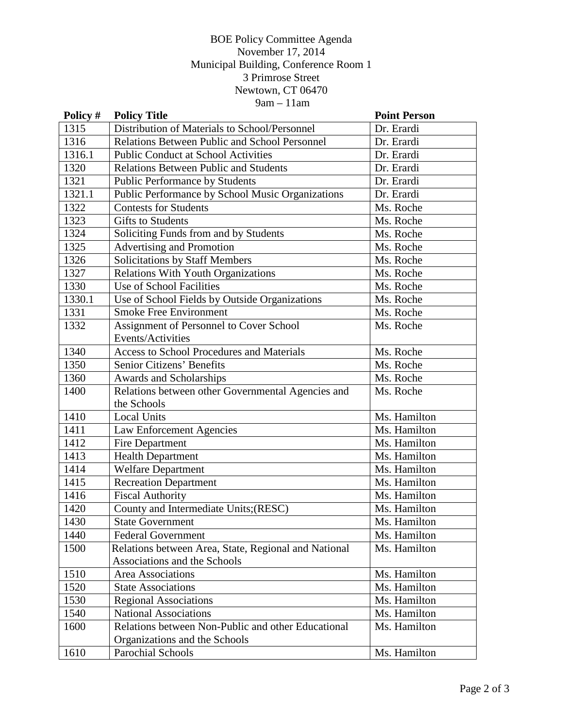# BOE Policy Committee Agenda November 17, 2014 Municipal Building, Conference Room 1 3 Primrose Street Newtown, CT 06470  $9am - 11am$

| Policy # | <b>Policy Title</b>                                  | <b>Point Person</b> |
|----------|------------------------------------------------------|---------------------|
| 1315     | Distribution of Materials to School/Personnel        | Dr. Erardi          |
| 1316     | <b>Relations Between Public and School Personnel</b> | Dr. Erardi          |
| 1316.1   | <b>Public Conduct at School Activities</b>           | Dr. Erardi          |
| 1320     | <b>Relations Between Public and Students</b>         | Dr. Erardi          |
| 1321     | <b>Public Performance by Students</b>                | Dr. Erardi          |
| 1321.1   | Public Performance by School Music Organizations     | Dr. Erardi          |
| 1322     | <b>Contests for Students</b>                         | Ms. Roche           |
| 1323     | <b>Gifts to Students</b>                             | Ms. Roche           |
| 1324     | Soliciting Funds from and by Students                | Ms. Roche           |
| 1325     | <b>Advertising and Promotion</b>                     | Ms. Roche           |
| 1326     | Solicitations by Staff Members                       | Ms. Roche           |
| 1327     | Relations With Youth Organizations                   | Ms. Roche           |
| 1330     | Use of School Facilities                             | Ms. Roche           |
| 1330.1   | Use of School Fields by Outside Organizations        | Ms. Roche           |
| 1331     | <b>Smoke Free Environment</b>                        | Ms. Roche           |
| 1332     | Assignment of Personnel to Cover School              | Ms. Roche           |
|          | Events/Activities                                    |                     |
| 1340     | <b>Access to School Procedures and Materials</b>     | Ms. Roche           |
| 1350     | Senior Citizens' Benefits                            | Ms. Roche           |
| 1360     | Awards and Scholarships                              | Ms. Roche           |
| 1400     | Relations between other Governmental Agencies and    | Ms. Roche           |
|          | the Schools                                          |                     |
| 1410     | <b>Local Units</b>                                   | Ms. Hamilton        |
| 1411     | Law Enforcement Agencies                             | Ms. Hamilton        |
| 1412     | Fire Department                                      | Ms. Hamilton        |
| 1413     | <b>Health Department</b>                             | Ms. Hamilton        |
| 1414     | <b>Welfare Department</b>                            | Ms. Hamilton        |
| 1415     | <b>Recreation Department</b>                         | Ms. Hamilton        |
| 1416     | <b>Fiscal Authority</b>                              | Ms. Hamilton        |
| 1420     | County and Intermediate Units;(RESC)                 | Ms. Hamilton        |
| 1430     | <b>State Government</b>                              | Ms. Hamilton        |
| 1440     | <b>Federal Government</b>                            | Ms. Hamilton        |
| 1500     | Relations between Area, State, Regional and National | Ms. Hamilton        |
|          | Associations and the Schools                         |                     |
| 1510     | Area Associations                                    | Ms. Hamilton        |
| 1520     | <b>State Associations</b>                            | Ms. Hamilton        |
| 1530     | <b>Regional Associations</b>                         | Ms. Hamilton        |
| 1540     | <b>National Associations</b>                         | Ms. Hamilton        |
| 1600     | Relations between Non-Public and other Educational   | Ms. Hamilton        |
|          | Organizations and the Schools                        |                     |
| 1610     | Parochial Schools                                    | Ms. Hamilton        |